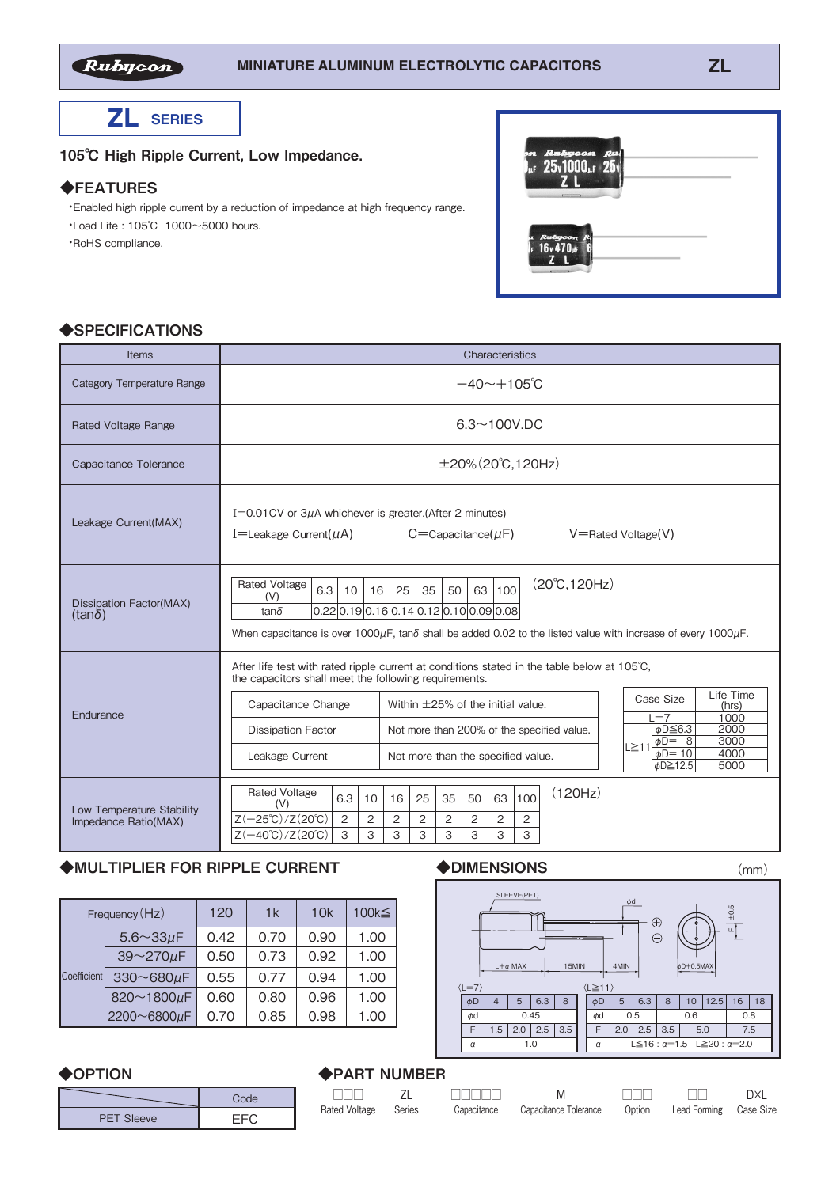

**ZL SERIES**

105℃ High Ripple Current, Low Impedance.

#### ◆FEATURES

 ・Enabled high ripple current by a reduction of impedance at high frequency range. ・Load Life : 105℃ 1000~5000 hours.

・RoHS compliance.

| 21 <i>Rubycon Ru</i> i<br>1 <sub>4</sub> 25,1000 <sub>4</sub> 25,<br>2 L |  |
|--------------------------------------------------------------------------|--|
| n <i>Rubycon</i> R<br> 16v470,11 {                                       |  |

### ◆SPECIFICATIONS

| Items                                             | Characteristics                                                                                                                                                                                                                                                                                                                                                                                                                                                                                                                |  |  |  |  |  |  |  |
|---------------------------------------------------|--------------------------------------------------------------------------------------------------------------------------------------------------------------------------------------------------------------------------------------------------------------------------------------------------------------------------------------------------------------------------------------------------------------------------------------------------------------------------------------------------------------------------------|--|--|--|--|--|--|--|
| <b>Category Temperature Range</b>                 | $-40 \sim +105$ °C                                                                                                                                                                                                                                                                                                                                                                                                                                                                                                             |  |  |  |  |  |  |  |
| <b>Rated Voltage Range</b>                        | $6.3 \sim 100$ V.DC                                                                                                                                                                                                                                                                                                                                                                                                                                                                                                            |  |  |  |  |  |  |  |
| Capacitance Tolerance                             | $\pm 20\%$ (20°C, 120Hz)                                                                                                                                                                                                                                                                                                                                                                                                                                                                                                       |  |  |  |  |  |  |  |
| Leakage Current(MAX)                              | I=0.01 CV or $3\mu$ A whichever is greater. (After 2 minutes)<br>$C =$ Capacitance( $\mu$ F)<br>V=Rated Voltage(V)<br>I=Leakage Current( $\mu$ A)                                                                                                                                                                                                                                                                                                                                                                              |  |  |  |  |  |  |  |
| <b>Dissipation Factor(MAX)</b><br>(tan $\delta$ ) | $(20^{\circ}C, 120Hz)$<br><b>Rated Voltage</b><br>63<br>6.3<br>25<br>35<br>100<br>16<br>50<br>10<br>(V)<br>$0.22 0.19 0.16 0.14 0.12 0.10 0.09 0.08 $<br>$tan\delta$<br>When capacitance is over $1000\mu$ F, tan $\delta$ shall be added 0.02 to the listed value with increase of every 1000 $\mu$ F.                                                                                                                                                                                                                        |  |  |  |  |  |  |  |
| Endurance                                         | After life test with rated ripple current at conditions stated in the table below at 105°C.<br>the capacitors shall meet the following requirements.<br>Life Time<br>Case Size<br>Capacitance Change<br>Within $\pm$ 25% of the initial value.<br>(hrs)<br>1000<br>$L = 7$<br>$\phi$ D $\leq$ 6.3<br>2000<br>Not more than 200% of the specified value.<br><b>Dissipation Factor</b><br>3000<br>$\phi$ D= 8<br>L≧11<br>$\phi$ D=10<br>4000<br>Leakage Current<br>Not more than the specified value.<br><i>Φ</i> D≧12.5<br>5000 |  |  |  |  |  |  |  |
| Low Temperature Stability<br>Impedance Ratio(MAX) | (120Hz)<br><b>Rated Voltage</b><br>6.3<br>63<br>100<br>10<br>16<br>25<br>35<br>50<br>(V)<br>$Z(-25^{\circ}\text{C})$ /Z $(20^{\circ}\text{C})$<br>$\overline{c}$<br>$\overline{2}$<br>2<br>2<br>2<br>2<br>2<br>2<br>3<br>3<br>3<br>$Z(-40^{\circ}C)/Z(20^{\circ}C)$<br>3<br>3<br>3<br>З<br>3                                                                                                                                                                                                                                   |  |  |  |  |  |  |  |

### ◆MULTIPLIER FOR RIPPLE CURRENT

| Frequency (Hz) |                     | 120  | 1 <sub>k</sub> | 10k  | 100k≦ |
|----------------|---------------------|------|----------------|------|-------|
|                | $5.6 \sim 33 \mu F$ | 0.42 | 0.70           | 0.90 | 1.00  |
| Coefficient    | 39~270µF            | 0.50 | 0.73           | 0.92 | 1.00  |
|                | 330~680µF           | 0.55 | 0.77           | 0.94 | 1.00  |
|                | 820~1800µF          | 0.60 | 0.80           | 0.96 | 1.00  |
|                | 2200~6800µF         | 0.70 | 0.85           | 0.98 | 1.00  |

#### ◆DIMENSIONS (mm)



# ◆OPTION

|                   | Code |
|-------------------|------|
| <b>PET Sleeve</b> | – –  |

# ◆PART NUMBER

| . . <i>.</i>  |        |             |                       |        |                        |            |  |
|---------------|--------|-------------|-----------------------|--------|------------------------|------------|--|
| <u>FIFIF</u>  |        |             | M                     |        |                        | <b>DXI</b> |  |
| Rated Voltage | Series | Capacitance | Capacitance Tolerance | Option | Lead Forming Case Size |            |  |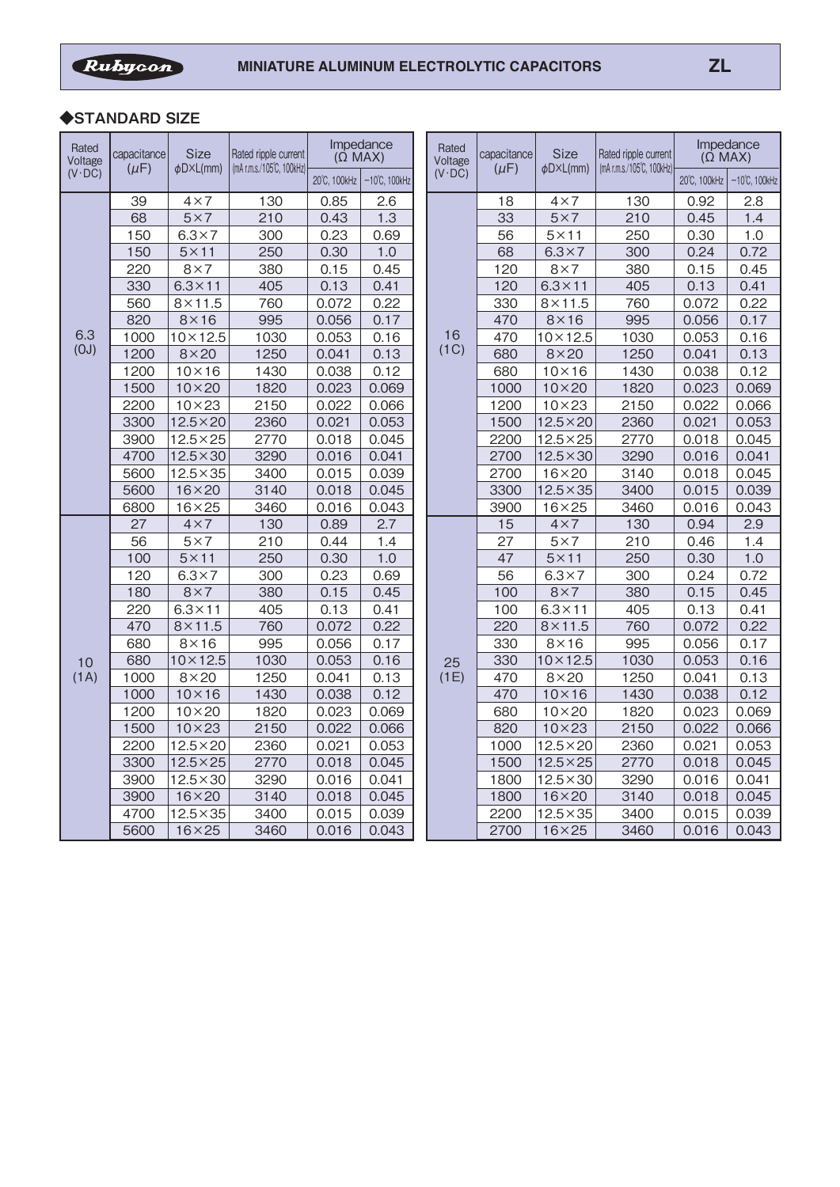ſ

## ◆**STANDARD SIZE**

| Rated<br>Voltage | capacitance | <b>Size</b><br>$\phi$ D $\times$ L(mm) | Rated ripple current<br>(mA r.m.s./105°C, 100kHz) | Impedance<br>$($ $\dot{\Omega}$ MAX) |                         |  | Rated<br>Voltage | capacitance | <b>Size</b><br>φD×L(mm) | Rated ripple current<br>(mA r.m.s./105°C, 100kHz) | Impedance<br>$($ $\Omega$ MAX $)$ |                         |
|------------------|-------------|----------------------------------------|---------------------------------------------------|--------------------------------------|-------------------------|--|------------------|-------------|-------------------------|---------------------------------------------------|-----------------------------------|-------------------------|
| $(V \cdot DC)$   | $(\mu F)$   |                                        |                                                   | 20°C, 100kHz                         | $-10^{\circ}$ C, 100kHz |  | $(V \cdot DC)$   | $(\mu F)$   |                         |                                                   | 20°C, 100kHz                      | $-10^{\circ}$ C, 100kHz |
|                  | 39          | $4\times7$                             | 130                                               | 0.85                                 | 2.6                     |  |                  | 18          | $4\times7$              | 130                                               | 0.92                              | 2.8                     |
|                  | 68          | $5\times7$                             | 210                                               | 0.43                                 | 1.3                     |  |                  | 33          | $5\times7$              | 210                                               | 0.45                              | 1.4                     |
|                  | 150         | $6.3 \times 7$                         | 300                                               | 0.23                                 | 0.69                    |  |                  | 56          | $5 \times 11$           | 250                                               | 0.30                              | 1.0                     |
|                  | 150         | $5 \times 11$                          | 250                                               | 0.30                                 | 1.0                     |  |                  | 68          | $6.3 \times 7$          | 300                                               | 0.24                              | 0.72                    |
|                  | 220         | $8\times7$                             | 380                                               | 0.15                                 | 0.45                    |  |                  | 120         | $8\times7$              | 380                                               | 0.15                              | 0.45                    |
|                  | 330         | $6.3 \times 11$                        | 405                                               | 0.13                                 | 0.41                    |  |                  | 120         | $6.3 \times 11$         | 405                                               | 0.13                              | 0.41                    |
|                  | 560         | $8\times11.5$                          | 760                                               | 0.072                                | 0.22                    |  |                  | 330         | $8\times11.5$           | 760                                               | 0.072                             | 0.22                    |
|                  | 820         | $8\times16$                            | 995                                               | 0.056                                | 0.17                    |  |                  | 470         | $8\times16$             | 995                                               | 0.056                             | 0.17                    |
| 6.3              | 1000        | $10 \times 12.5$                       | 1030                                              | 0.053                                | 0.16                    |  | 16               | 470         | $10 \times 12.5$        | 1030                                              | 0.053                             | 0.16                    |
| (0J)             | 1200        | $8\times20$                            | 1250                                              | 0.041                                | 0.13                    |  | (1C)             | 680         | $8\times20$             | 1250                                              | 0.041                             | 0.13                    |
|                  | 1200        | $10 \times 16$                         | 1430                                              | 0.038                                | 0.12                    |  |                  | 680         | $10 \times 16$          | 1430                                              | 0.038                             | 0.12                    |
|                  | 1500        | $10\times20$                           | 1820                                              | 0.023                                | 0.069                   |  |                  | 1000        | $10\times 20$           | 1820                                              | 0.023                             | 0.069                   |
|                  | 2200        | $10 \times 23$                         | 2150                                              | 0.022                                | 0.066                   |  |                  | 1200        | $10 \times 23$          | 2150                                              | 0.022                             | 0.066                   |
|                  | 3300        | $12.5 \times 20$                       | 2360                                              | 0.021                                | 0.053                   |  |                  | 1500        | $12.5 \times 20$        | 2360                                              | 0.021                             | 0.053                   |
|                  | 3900        | $12.5 \times 25$                       | 2770                                              | 0.018                                | 0.045                   |  |                  | 2200        | $12.5\times25$          | 2770                                              | 0.018                             | 0.045                   |
|                  | 4700        | $12.5 \times 30$                       | 3290                                              | 0.016                                | 0.041                   |  |                  | 2700        | $12.5 \times 30$        | 3290                                              | 0.016                             | 0.041                   |
|                  | 5600        | $12.5 \times 35$                       | 3400                                              | 0.015                                | 0.039                   |  |                  | 2700        | $16\times20$            | 3140                                              | 0.018                             | 0.045                   |
|                  | 5600        | $16 \times 20$                         | 3140                                              | 0.018                                | 0.045                   |  |                  | 3300        | $12.5 \times 35$        | 3400                                              | 0.015                             | 0.039                   |
|                  | 6800        | $16 \times 25$                         | 3460                                              | 0.016                                | 0.043                   |  |                  | 3900        | $16 \times 25$          | 3460                                              | 0.016                             | 0.043                   |
|                  | 27          | $4\times7$                             | 130                                               | 0.89                                 | 2.7                     |  |                  | 15          | $4\times 7$             | 130                                               | 0.94                              | 2.9                     |
|                  | 56          | $5\times7$                             | 210                                               | 0.44                                 | 1.4                     |  |                  | 27          | $5\times7$              | 210                                               | 0.46                              | 1.4                     |
|                  | 100         | $5 \times 11$                          | 250                                               | 0.30                                 | 1.0                     |  |                  | 47          | $5 \times 11$           | 250                                               | 0.30                              | 1.0                     |
|                  | 120         | $6.3 \times 7$                         | 300                                               | 0.23                                 | 0.69                    |  |                  | 56          | $6.3 \times 7$          | 300                                               | 0.24                              | 0.72                    |
|                  | 180         | $8\times7$                             | 380                                               | 0.15                                 | 0.45                    |  |                  | 100         | $8\times7$              | 380                                               | 0.15                              | 0.45                    |
|                  | 220         | $6.3 \times 11$                        | 405                                               | 0.13                                 | 0.41                    |  |                  | 100         | $6.3 \times 11$         | 405                                               | 0.13                              | 0.41                    |
|                  | 470         | $8\times11.5$                          | 760                                               | 0.072                                | 0.22                    |  |                  | 220         | $8\times11.5$           | 760                                               | 0.072                             | 0.22                    |
|                  | 680         | $8\times16$                            | 995                                               | 0.056                                | 0.17                    |  |                  | 330         | $8\times16$             | 995                                               | 0.056                             | 0.17                    |
| 10               | 680         | $10\times12.5$                         | 1030                                              | 0.053                                | 0.16                    |  | 25               | 330         | $10 \times 12.5$        | 1030                                              | 0.053                             | 0.16                    |
| (1A)             | 1000        | $8\times20$                            | 1250                                              | 0.041                                | 0.13                    |  | (1E)             | 470         | $8\times20$             | 1250                                              | 0.041                             | 0.13                    |
|                  | 1000        | $10 \times 16$                         | 1430                                              | 0.038                                | 0.12                    |  |                  | 470         | $10 \times 16$          | 1430                                              | 0.038                             | 0.12                    |
|                  | 1200        | $10\times20$                           | 1820                                              | 0.023                                | 0.069                   |  |                  | 680         | $10\times 20$           | 1820                                              | 0.023                             | 0.069                   |
|                  | 1500        | $10\times23$                           | 2150                                              | 0.022                                | 0.066                   |  |                  | 820         | $10\times23$            | 2150                                              | 0.022                             | 0.066                   |
|                  | 2200        | $12.5\times20$                         | 2360                                              | 0.021                                | 0.053                   |  |                  | 1000        | $12.5 \times 20$        | 2360                                              | 0.021                             | 0.053                   |
|                  | 3300        | $12.5\times25$                         | 2770                                              | 0.018                                | 0.045                   |  |                  | 1500        | $12.5 \times 25$        | 2770                                              | 0.018                             | 0.045                   |
|                  | 3900        | $12.5 \times 30$                       | 3290                                              | 0.016                                | 0.041                   |  |                  | 1800        | $12.5 \times 30$        | 3290                                              | 0.016                             | 0.041                   |
|                  | 3900        | $16 \times 20$                         | 3140                                              | 0.018                                | 0.045                   |  |                  | 1800        | $16\times20$            | 3140                                              | 0.018                             | 0.045                   |
|                  | 4700        | $\overline{12.5} \times 35$            | 3400                                              | 0.015                                | 0.039                   |  |                  | 2200        | $12.5 \times 35$        | 3400                                              | 0.015                             | 0.039                   |
|                  | 5600        | $16 \times 25$                         | 3460                                              | 0.016                                | 0.043                   |  |                  | 2700        | $16 \times 25$          | 3460                                              | 0.016                             | 0.043                   |